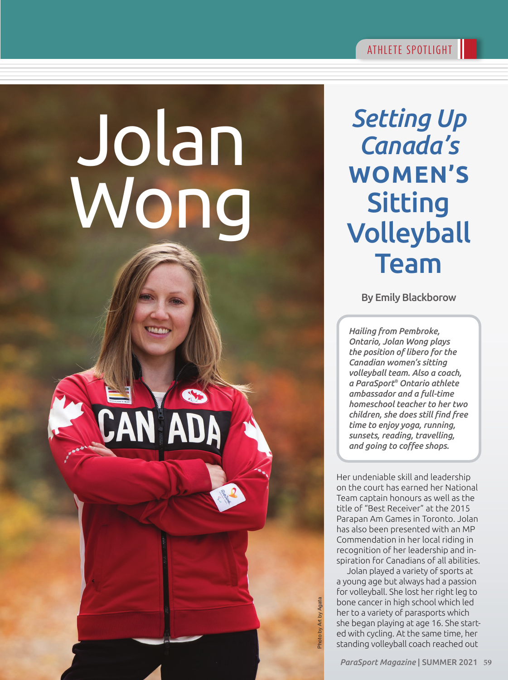*Setting Up* 

*Canada's*

**WOMEN'S**

**Sitting** 

Volleyball

Team

## Jolan Wong

By Emily Blackborow

*Hailing from Pembroke, Ontario, Jolan Wong plays the position of libero for the Canadian women's sitting volleyball team. Also a coach, a ParaSport® Ontario athlete ambassador and a full-time homeschool teacher to her two children, she does still find free time to enjoy yoga, running, sunsets, reading, travelling, and going to coffee shops.* 

Her undeniable skill and leadership on the court has earned her National Team captain honours as well as the title of "Best Receiver" at the 2015 Parapan Am Games in Toronto. Jolan has also been presented with an MP Commendation in her local riding in recognition of her leadership and inspiration for Canadians of all abilities.

Jolan played a variety of sports at a young age but always had a passion for volleyball. She lost her right leg to bone cancer in high school which led her to a variety of parasports which she began playing at age 16. She started with cycling. At the same time, her standing volleyball coach reached out

Photo by Art by Agata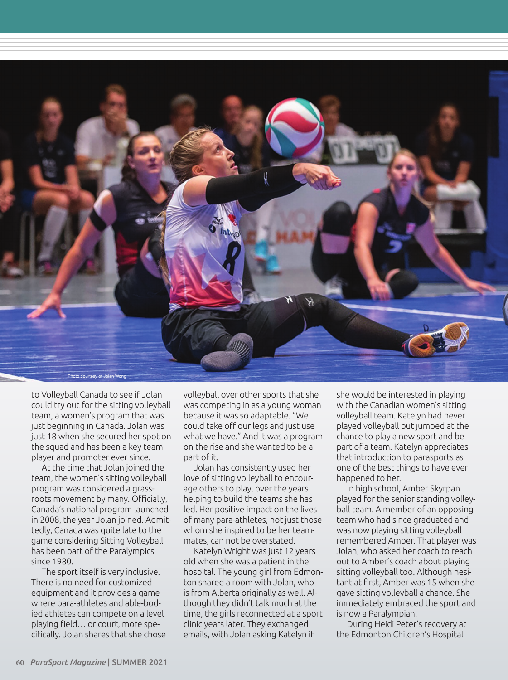

to Volleyball Canada to see if Jolan could try out for the sitting volleyball team, a women's program that was just beginning in Canada. Jolan was just 18 when she secured her spot on the squad and has been a key team player and promoter ever since.

At the time that Jolan joined the team, the women's sitting volleyball program was considered a grassroots movement by many. Officially, Canada's national program launched in 2008, the year Jolan joined. Admittedly, Canada was quite late to the game considering Sitting Volleyball has been part of the Paralympics since 1980.

The sport itself is very inclusive. There is no need for customized equipment and it provides a game where para-athletes and able-bodied athletes can compete on a level playing field… or court, more specifically. Jolan shares that she chose volleyball over other sports that she was competing in as a young woman because it was so adaptable. "We could take off our legs and just use what we have." And it was a program on the rise and she wanted to be a part of it.

Jolan has consistently used her love of sitting volleyball to encourage others to play, over the years helping to build the teams she has led. Her positive impact on the lives of many para-athletes, not just those whom she inspired to be her teammates, can not be overstated.

Katelyn Wright was just 12 years old when she was a patient in the hospital. The young girl from Edmonton shared a room with Jolan, who is from Alberta originally as well. Although they didn't talk much at the time, the girls reconnected at a sport clinic years later. They exchanged emails, with Jolan asking Katelyn if

she would be interested in playing with the Canadian women's sitting volleyball team. Katelyn had never played volleyball but jumped at the chance to play a new sport and be part of a team. Katelyn appreciates that introduction to parasports as one of the best things to have ever happened to her.

In high school, Amber Skyrpan played for the senior standing volleyball team. A member of an opposing team who had since graduated and was now playing sitting volleyball remembered Amber. That player was Jolan, who asked her coach to reach out to Amber's coach about playing sitting volleyball too. Although hesitant at first, Amber was 15 when she gave sitting volleyball a chance. She immediately embraced the sport and is now a Paralympian.

During Heidi Peter's recovery at the Edmonton Children's Hospital